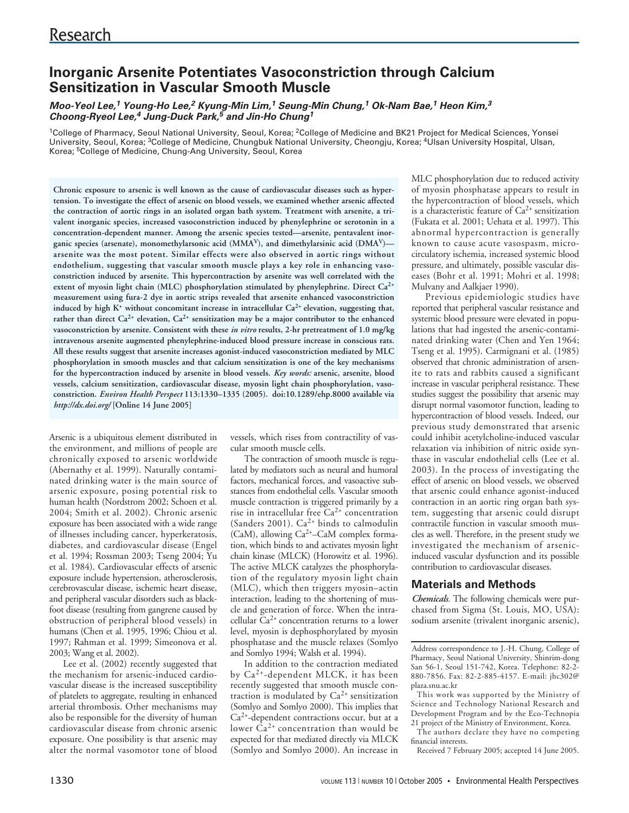# **Inorganic Arsenite Potentiates Vasoconstriction through Calcium Sensitization in Vascular Smooth Muscle**

## **Moo-Yeol Lee,<sup>1</sup> Young-Ho Lee,<sup>2</sup> Kyung-Min Lim,<sup>1</sup> Seung-Min Chung,<sup>1</sup> Ok-Nam Bae,<sup>1</sup> Heon Kim,<sup>3</sup> Choong-Ryeol Lee,<sup>4</sup> Jung-Duck Park,<sup>5</sup> and Jin-Ho Chung<sup>1</sup>**

<sup>1</sup>College of Pharmacy, Seoul National University, Seoul, Korea; <sup>2</sup>College of Medicine and BK21 Project for Medical Sciences, Yonsei University, Seoul, Korea; <sup>3</sup>College of Medicine, Chungbuk National University, Cheongju, Korea; <sup>4</sup>Ulsan University Hospital, Ulsan, Korea; 5College of Medicine, Chung-Ang University, Seoul, Korea

**Chronic exposure to arsenic is well known as the cause of cardiovascular diseases such as hypertension. To investigate the effect of arsenic on blood vessels, we examined whether arsenic affected the contraction of aortic rings in an isolated organ bath system. Treatment with arsenite, a trivalent inorganic species, increased vasoconstriction induced by phenylephrine or serotonin in a concentration-dependent manner. Among the arsenic species tested—arsenite, pentavalent inorganic species (arsenate), monomethylarsonic acid (MMAV), and dimethylarsinic acid (DMAV) arsenite was the most potent. Similar effects were also observed in aortic rings without endothelium, suggesting that vascular smooth muscle plays a key role in enhancing vasoconstriction induced by arsenite. This hypercontraction by arsenite was well correlated with the extent of myosin light chain (MLC) phosphorylation stimulated by phenylephrine. Direct Ca2+ measurement using fura-2 dye in aortic strips revealed that arsenite enhanced vasoconstriction** induced by high K<sup>+</sup> without concomitant increase in intracellular Ca<sup>2+</sup> elevation, suggesting that, **rather than direct Ca2+ elevation, Ca2+ sensitization may be a major contributor to the enhanced vasoconstriction by arsenite. Consistent with these** *in vitro* **results, 2-hr pretreatment of 1.0 mg/kg intravenous arsenite augmented phenylephrine-induced blood pressure increase in conscious rats. All these results suggest that arsenite increases agonist-induced vasoconstriction mediated by MLC phosphorylation in smooth muscles and that calcium sensitization is one of the key mechanisms for the hypercontraction induced by arsenite in blood vessels.** *Key words:* **arsenic, arsenite, blood vessels, calcium sensitization, cardiovascular disease, myosin light chain phosphorylation, vasoconstriction.** *Environ Health Perspect* **113:1330–1335 (2005). doi:10.1289/ehp.8000 available via** *http://dx.doi.org/* **[Online 14 June 2005]**

Arsenic is a ubiquitous element distributed in the environment, and millions of people are chronically exposed to arsenic worldwide (Abernathy et al. 1999). Naturally contaminated drinking water is the main source of arsenic exposure, posing potential risk to human health (Nordstrom 2002; Schoen et al. 2004; Smith et al. 2002). Chronic arsenic exposure has been associated with a wide range of illnesses including cancer, hyperkeratosis, diabetes, and cardiovascular disease (Engel et al. 1994; Rossman 2003; Tseng 2004; Yu et al. 1984). Cardiovascular effects of arsenic exposure include hypertension, atherosclerosis, cerebrovascular disease, ischemic heart disease, and peripheral vascular disorders such as blackfoot disease (resulting from gangrene caused by obstruction of peripheral blood vessels) in humans (Chen et al. 1995, 1996; Chiou et al. 1997; Rahman et al. 1999; Simeonova et al. 2003; Wang et al. 2002).

Lee et al. (2002) recently suggested that the mechanism for arsenic-induced cardiovascular disease is the increased susceptibility of platelets to aggregate, resulting in enhanced arterial thrombosis. Other mechanisms may also be responsible for the diversity of human cardiovascular disease from chronic arsenic exposure. One possibility is that arsenic may alter the normal vasomotor tone of blood vessels, which rises from contractility of vascular smooth muscle cells.

The contraction of smooth muscle is regulated by mediators such as neural and humoral factors, mechanical forces, and vasoactive substances from endothelial cells. Vascular smooth muscle contraction is triggered primarily by a rise in intracellular free  $Ca^{2+}$  concentration (Sanders 2001).  $Ca^{2+}$  binds to calmodulin (CaM), allowing  $Ca<sup>2+</sup>-CaM$  complex formation, which binds to and activates myosin light chain kinase (MLCK) (Horowitz et al. 1996). The active MLCK catalyzes the phosphorylation of the regulatory myosin light chain (MLC), which then triggers myosin–actin interaction, leading to the shortening of muscle and generation of force. When the intracellular  $Ca^{2+}$  concentration returns to a lower level, myosin is dephosphorylated by myosin phosphatase and the muscle relaxes (Somlyo and Somlyo 1994; Walsh et al. 1994).

In addition to the contraction mediated by Ca2+-dependent MLCK, it has been recently suggested that smooth muscle contraction is modulated by  $Ca<sup>2+</sup>$  sensitization (Somlyo and Somlyo 2000). This implies that Ca2+-dependent contractions occur, but at a lower  $\bar{C}a^{2+}$  concentration than would be expected for that mediated directly via MLCK (Somlyo and Somlyo 2000). An increase in

MLC phosphorylation due to reduced activity of myosin phosphatase appears to result in the hypercontraction of blood vessels, which is a characteristic feature of  $Ca^{2+}$  sensitization (Fukata et al. 2001; Uehata et al. 1997). This abnormal hypercontraction is generally known to cause acute vasospasm, microcirculatory ischemia, increased systemic blood pressure, and ultimately, possible vascular diseases (Bohr et al. 1991; Mohri et al. 1998; Mulvany and Aalkjaer 1990).

Previous epidemiologic studies have reported that peripheral vascular resistance and systemic blood pressure were elevated in populations that had ingested the arsenic-contaminated drinking water (Chen and Yen 1964; Tseng et al. 1995). Carmignani et al. (1985) observed that chronic administration of arsenite to rats and rabbits caused a significant increase in vascular peripheral resistance. These studies suggest the possibility that arsenic may disrupt normal vasomotor function, leading to hypercontraction of blood vessels. Indeed, our previous study demonstrated that arsenic could inhibit acetylcholine-induced vascular relaxation via inhibition of nitric oxide synthase in vascular endothelial cells (Lee et al. 2003). In the process of investigating the effect of arsenic on blood vessels, we observed that arsenic could enhance agonist-induced contraction in an aortic ring organ bath system, suggesting that arsenic could disrupt contractile function in vascular smooth muscles as well. Therefore, in the present study we investigated the mechanism of arsenicinduced vascular dysfunction and its possible contribution to cardiovascular diseases.

# **Materials and Methods**

*Chemicals.* The following chemicals were purchased from Sigma (St. Louis, MO, USA): sodium arsenite (trivalent inorganic arsenic),

The authors declare they have no competing financial interests.

Received 7 February 2005; accepted 14 June 2005.

Address correspondence to J.-H. Chung, College of Pharmacy, Seoul National University, Shinrim-dong San 56-1, Seoul 151-742, Korea. Telephone: 82-2- 880-7856. Fax: 82-2-885-4157. E-mail: jhc302@ plaza.snu.ac.kr

This work was supported by the Ministry of Science and Technology National Research and Development Program and by the Eco-Technopia 21 project of the Ministry of Environment, Korea.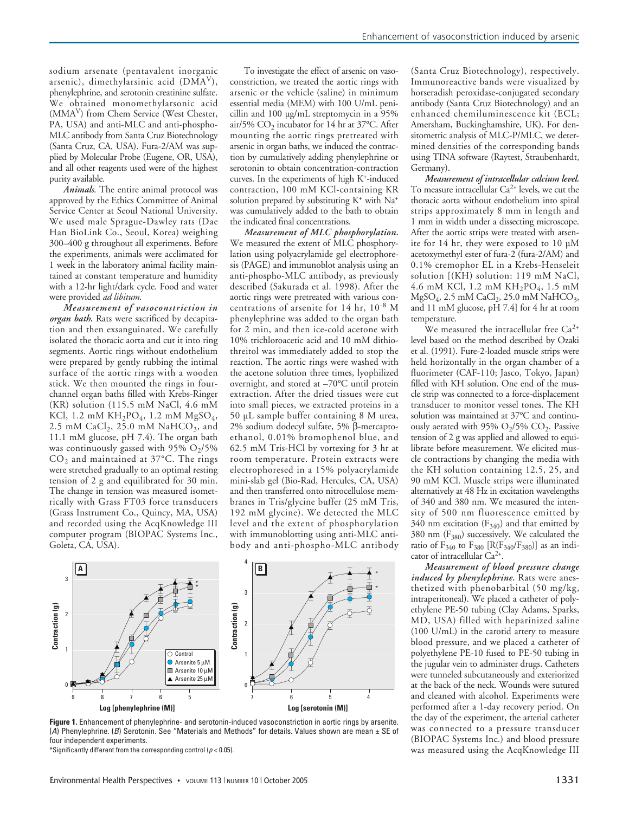sodium arsenate (pentavalent inorganic arsenic), dimethylarsinic acid (DMAV), phenylephrine, and serotonin creatinine sulfate. We obtained monomethylarsonic acid (MMAV) from Chem Service (West Chester, PA, USA) and anti-MLC and anti-phospho-MLC antibody from Santa Cruz Biotechnology (Santa Cruz, CA, USA). Fura-2/AM was supplied by Molecular Probe (Eugene, OR, USA), and all other reagents used were of the highest purity available.

*Animals*. The entire animal protocol was approved by the Ethics Committee of Animal Service Center at Seoul National University. We used male Sprague-Dawley rats (Dae Han BioLink Co., Seoul, Korea) weighing 300–400 g throughout all experiments. Before the experiments, animals were acclimated for 1 week in the laboratory animal facility maintained at constant temperature and humidity with a 12-hr light/dark cycle. Food and water were provided *ad libitum*.

*Measurement of vasoconstriction in organ bath.* Rats were sacrificed by decapitation and then exsanguinated. We carefully isolated the thoracic aorta and cut it into ring segments. Aortic rings without endothelium were prepared by gently rubbing the intimal surface of the aortic rings with a wooden stick. We then mounted the rings in fourchannel organ baths filled with Krebs-Ringer (KR) solution (115.5 mM NaCl, 4.6 mM KCl, 1.2 mM  $KH_2PO_4$ , 1.2 mM  $MgSO_4$ , 2.5 mM  $CaCl<sub>2</sub>$ , 25.0 mM  $NaHCO<sub>3</sub>$ , and 11.1 mM glucose, pH 7.4). The organ bath was continuously gassed with 95%  $O_2/5%$  $CO<sub>2</sub>$  and maintained at 37°C. The rings were stretched gradually to an optimal resting tension of 2 g and equilibrated for 30 min. The change in tension was measured isometrically with Grass FT03 force transducers (Grass Instrument Co., Quincy, MA, USA) and recorded using the AcqKnowledge III computer program (BIOPAC Systems Inc., Goleta, CA, USA).

To investigate the effect of arsenic on vasoconstriction, we treated the aortic rings with arsenic or the vehicle (saline) in minimum essential media (MEM) with 100 U/mL penicillin and 100 µg/mL streptomycin in a 95% air/5%  $CO<sub>2</sub>$  incubator for 14 hr at 37°C. After mounting the aortic rings pretreated with arsenic in organ baths, we induced the contraction by cumulatively adding phenylephrine or serotonin to obtain concentration-contraction curves. In the experiments of high K+-induced contraction, 100 mM KCl-containing KR solution prepared by substituting  $K^+$  with  $Na^+$ was cumulatively added to the bath to obtain the indicated final concentrations.

*Measurement of MLC phosphorylation.* We measured the extent of MLC phosphorylation using polyacrylamide gel electrophoresis (PAGE) and immunoblot analysis using an anti-phospho-MLC antibody, as previously described (Sakurada et al. 1998). After the aortic rings were pretreated with various concentrations of arsenite for 14 hr, 10-8 M phenylephrine was added to the organ bath for 2 min, and then ice-cold acetone with 10% trichloroacetic acid and 10 mM dithiothreitol was immediately added to stop the reaction. The aortic rings were washed with the acetone solution three times, lyophilized overnight, and stored at –70°C until protein extraction. After the dried tissues were cut into small pieces, we extracted proteins in a 50 µL sample buffer containing 8 M urea, 2% sodium dodecyl sulfate, 5% β-mercaptoethanol, 0.01% bromophenol blue, and 62.5 mM Tris-HCl by vortexing for 3 hr at room temperature. Protein extracts were electrophoresed in a 15% polyacrylamide mini-slab gel (Bio-Rad, Hercules, CA, USA) and then transferred onto nitrocellulose membranes in Tris/glycine buffer (25 mM Tris, 192 mM glycine). We detected the MLC level and the extent of phosphorylation with immunoblotting using anti-MLC antibody and anti-phospho-MLC antibody



**Figure 1.** Enhancement of phenylephrine- and serotonin-induced vasoconstriction in aortic rings by arsenite. (A) Phenylephrine. (B) Serotonin. See "Materials and Methods" for details. Values shown are mean  $\pm$  SE of four independent experiments.

\*Significantly different from the corresponding control ( $p < 0.05$ ).

(Santa Cruz Biotechnology), respectively. Immunoreactive bands were visualized by horseradish peroxidase-conjugated secondary antibody (Santa Cruz Biotechnology) and an enhanced chemiluminescence kit (ECL; Amersham, Buckinghamshire, UK). For densitometric analysis of MLC-P/MLC, we determined densities of the corresponding bands using TINA software (Raytest, Straubenhardt, Germany).

*Measurement of intracellular calcium level.* To measure intracellular  $Ca^{2+}$  levels, we cut the thoracic aorta without endothelium into spiral strips approximately 8 mm in length and 1 mm in width under a dissecting microscope. After the aortic strips were treated with arsenite for 14 hr, they were exposed to 10 µM acetoxymethyl ester of fura-2 (fura-2/AM) and 0.1% cremophor EL in a Krebs-Henseleit solution [(KH) solution: 119 mM NaCl, 4.6 mM KCl, 1.2 mM  $KH_{2}PO_{4}$ , 1.5 mM  $MgSO_4$ , 2.5 mM CaCl<sub>2</sub>, 25.0 mM NaHCO<sub>3</sub>, and 11 mM glucose, pH 7.4] for 4 hr at room temperature.

We measured the intracellular free  $Ca^{2+}$ level based on the method described by Ozaki et al. (1991). Fure-2-loaded muscle strips were held horizontally in the organ chamber of a fluorimeter (CAF-110; Jasco, Tokyo, Japan) filled with KH solution. One end of the muscle strip was connected to a force-displacement transducer to monitor vessel tones. The KH solution was maintained at 37°C and continuously aerated with 95%  $O_2/5$ %  $CO_2$ . Passive tension of 2 g was applied and allowed to equilibrate before measurement. We elicited muscle contractions by changing the media with the KH solution containing 12.5, 25, and 90 mM KCl. Muscle strips were illuminated alternatively at 48 Hz in excitation wavelengths of 340 and 380 nm. We measured the intensity of 500 nm fluorescence emitted by 340 nm excitation  $(F_{340})$  and that emitted by 380 nm  $(F_{380})$  successively. We calculated the ratio of  $F_{340}$  to  $F_{380}$  [R( $F_{340}/F_{380}$ )] as an indicator of intracellular Ca2+.

*Measurement of blood pressure change induced by phenylephrine*. Rats were anesthetized with phenobarbital (50 mg/kg, intraperitoneal). We placed a catheter of polyethylene PE-50 tubing (Clay Adams, Sparks, MD, USA) filled with heparinized saline (100 U/mL) in the carotid artery to measure blood pressure, and we placed a catheter of polyethylene PE-10 fused to PE-50 tubing in the jugular vein to administer drugs. Catheters were tunneled subcutaneously and exteriorized at the back of the neck. Wounds were sutured and cleaned with alcohol. Experiments were performed after a 1-day recovery period. On the day of the experiment, the arterial catheter was connected to a pressure transducer (BIOPAC Systems Inc.) and blood pressure was measured using the AcqKnowledge III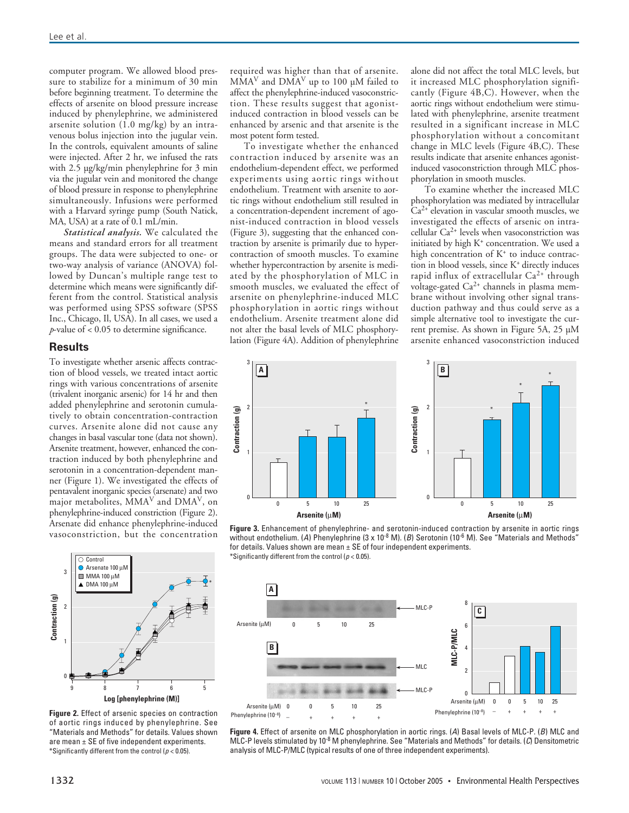computer program. We allowed blood pressure to stabilize for a minimum of 30 min before beginning treatment. To determine the effects of arsenite on blood pressure increase induced by phenylephrine, we administered arsenite solution (1.0 mg/kg) by an intravenous bolus injection into the jugular vein. In the controls, equivalent amounts of saline were injected. After 2 hr, we infused the rats with 2.5 µg/kg/min phenylephrine for 3 min via the jugular vein and monitored the change of blood pressure in response to phenylephrine simultaneously. Infusions were performed with a Harvard syringe pump (South Natick, MA, USA) at a rate of 0.1 mL/min.

*Statistical analysis.* We calculated the means and standard errors for all treatment groups. The data were subjected to one- or two-way analysis of variance (ANOVA) followed by Duncan's multiple range test to determine which means were significantly different from the control. Statistical analysis was performed using SPSS software (SPSS Inc., Chicago, Il, USA). In all cases, we used a *p*-value of < 0.05 to determine significance.

#### **Results**

To investigate whether arsenic affects contraction of blood vessels, we treated intact aortic rings with various concentrations of arsenite (trivalent inorganic arsenic) for 14 hr and then added phenylephrine and serotonin cumulatively to obtain concentration-contraction curves. Arsenite alone did not cause any changes in basal vascular tone (data not shown). Arsenite treatment, however, enhanced the contraction induced by both phenylephrine and serotonin in a concentration-dependent manner (Figure 1). We investigated the effects of pentavalent inorganic species (arsenate) and two major metabolites, MMA<sup>V</sup> and DMAV, on phenylephrine-induced constriction (Figure 2). Arsenate did enhance phenylephrine-induced vasoconstriction, but the concentration



**Figure 2.** Effect of arsenic species on contraction of aortic rings induced by phenylephrine. See "Materials and Methods" for details. Values shown are mean  $\pm$  SE of five independent experiments. \*Significantly different from the control ( $p < 0.05$ ).

required was higher than that of arsenite.  $\text{MMA}^{\text{V}}$  and  $\text{DMA}^{\text{V}}$  up to 100 µM failed to affect the phenylephrine-induced vasoconstriction. These results suggest that agonistinduced contraction in blood vessels can be enhanced by arsenic and that arsenite is the most potent form tested.

To investigate whether the enhanced contraction induced by arsenite was an endothelium-dependent effect, we performed experiments using aortic rings without endothelium. Treatment with arsenite to aortic rings without endothelium still resulted in a concentration-dependent increment of agonist-induced contraction in blood vessels (Figure 3), suggesting that the enhanced contraction by arsenite is primarily due to hypercontraction of smooth muscles. To examine whether hypercontraction by arsenite is mediated by the phosphorylation of MLC in smooth muscles, we evaluated the effect of arsenite on phenylephrine-induced MLC phosphorylation in aortic rings without endothelium. Arsenite treatment alone did not alter the basal levels of MLC phosphorylation (Figure 4A). Addition of phenylephrine alone did not affect the total MLC levels, but it increased MLC phosphorylation significantly (Figure 4B,C). However, when the aortic rings without endothelium were stimulated with phenylephrine, arsenite treatment resulted in a significant increase in MLC phosphorylation without a concomitant change in MLC levels (Figure 4B,C). These results indicate that arsenite enhances agonistinduced vasoconstriction through MLC phosphorylation in smooth muscles.

To examine whether the increased MLC phosphorylation was mediated by intracellular  $Ca<sup>2+</sup>$  elevation in vascular smooth muscles, we investigated the effects of arsenic on intracellular Ca2+ levels when vasoconstriction was initiated by high K<sup>+</sup> concentration. We used a high concentration of K<sup>+</sup> to induce contraction in blood vessels, since K+ directly induces rapid influx of extracellular  $Ca^{2+}$  through voltage-gated Ca2+ channels in plasma membrane without involving other signal transduction pathway and thus could serve as a simple alternative tool to investigate the current premise. As shown in Figure 5A, 25 µM arsenite enhanced vasoconstriction induced



**Figure 3.** Enhancement of phenylephrine- and serotonin-induced contraction by arsenite in aortic rings without endothelium. (A) Phenylephrine (3 x 10 $^8$  M). (B) Serotonin (10 $^6$  M). See "Materials and Methods" for details. Values shown are mean  $\pm$  SE of four independent experiments. \*Significantly different from the control ( $p < 0.05$ ).



**Figure 4.** Effect of arsenite on MLC phosphorylation in aortic rings. (A) Basal levels of MLC-P. (B) MLC and MLC-P levels stimulated by 10<sup>-8</sup> M phenylephrine. See "Materials and Methods" for details. (C) Densitometric analysis of MLC-P/MLC (typical results of one of three independent experiments).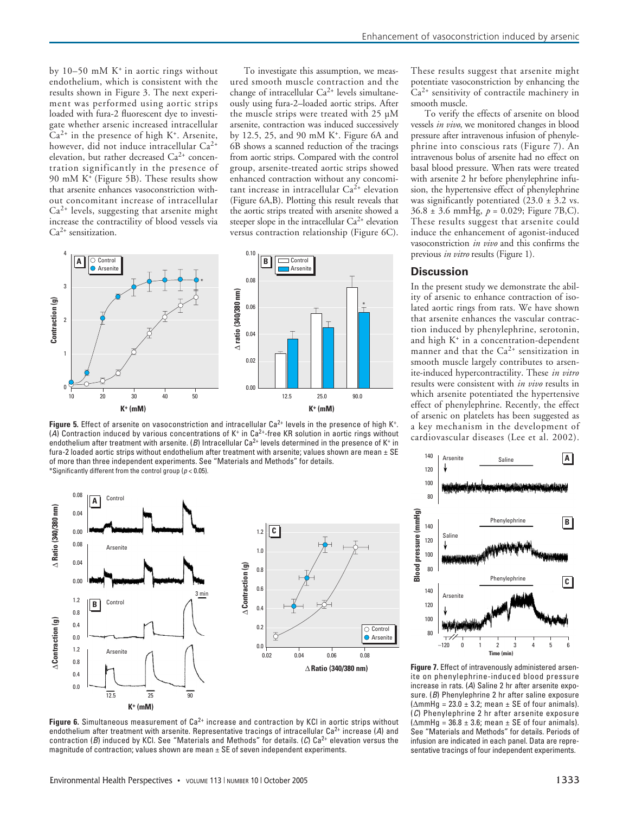by  $10-50$  mM K<sup>+</sup> in aortic rings without endothelium, which is consistent with the results shown in Figure 3. The next experiment was performed using aortic strips loaded with fura-2 fluorescent dye to investigate whether arsenic increased intracellular  $Ca<sup>2+</sup>$  in the presence of high K<sup>+</sup>. Arsenite, however, did not induce intracellular Ca<sup>2+</sup> elevation, but rather decreased  $Ca^{2+}$  concentration significantly in the presence of 90 mM K+ (Figure 5B). These results show that arsenite enhances vasoconstriction without concomitant increase of intracellular  $Ca<sup>2+</sup>$  levels, suggesting that arsenite might increase the contractility of blood vessels via Ca2+ sensitization.

To investigate this assumption, we measured smooth muscle contraction and the change of intracellular  $Ca^{2+}$  levels simultaneously using fura-2–loaded aortic strips. After the muscle strips were treated with 25 µM arsenite, contraction was induced successively by 12.5, 25, and 90 mM K+. Figure 6A and 6B shows a scanned reduction of the tracings from aortic strips. Compared with the control group, arsenite-treated aortic strips showed enhanced contraction without any concomitant increase in intracellular  $Ca^{2+}$  elevation (Figure 6A,B). Plotting this result reveals that the aortic strips treated with arsenite showed a steeper slope in the intracellular  $Ca^{2+}$  elevation versus contraction relationship (Figure 6C).



Figure 5. Effect of arsenite on vasoconstriction and intracellular Ca<sup>2+</sup> levels in the presence of high K<sup>+</sup>. (A) Contraction induced by various concentrations of K<sup>+</sup> in Ca<sup>2+</sup>-free KR solution in aortic rings without endothelium after treatment with arsenite. (B) Intracellular Ca<sup>2+</sup> levels determined in the presence of K<sup>+</sup> in fura-2 loaded aortic strips without endothelium after treatment with arsenite; values shown are mean ± SE of more than three independent experiments. See "Materials and Methods" for details. \*Significantly different from the control group ( $p < 0.05$ ).



Figure 6. Simultaneous measurement of Ca<sup>2+</sup> increase and contraction by KCI in aortic strips without endothelium after treatment with arsenite. Representative tracings of intracellular  $Ca^{2+}$  increase (A) and contraction (B) induced by KCl. See "Materials and Methods" for details. (C)  $Ca^{2+}$  elevation versus the magnitude of contraction; values shown are mean  $\pm$  SE of seven independent experiments.

These results suggest that arsenite might potentiate vasoconstriction by enhancing the Ca2+ sensitivity of contractile machinery in smooth muscle.

To verify the effects of arsenite on blood vessels *in vivo*, we monitored changes in blood pressure after intravenous infusion of phenylephrine into conscious rats (Figure 7). An intravenous bolus of arsenite had no effect on basal blood pressure. When rats were treated with arsenite 2 hr before phenylephrine infusion, the hypertensive effect of phenylephrine was significantly potentiated  $(23.0 \pm 3.2 \text{ vs.})$ 36.8 ± 3.6 mmHg, *p* = 0.029; Figure 7B,C). These results suggest that arsenite could induce the enhancement of agonist-induced vasoconstriction *in vivo* and this confirms the previous *in vitro* results (Figure 1)*.*

### **Discussion**

In the present study we demonstrate the ability of arsenic to enhance contraction of isolated aortic rings from rats. We have shown that arsenite enhances the vascular contraction induced by phenylephrine, serotonin, and high K<sup>+</sup> in a concentration-dependent manner and that the  $Ca^{2+}$  sensitization in smooth muscle largely contributes to arsenite-induced hypercontractility. These *in vitro* results were consistent with *in vivo* results in which arsenite potentiated the hypertensive effect of phenylephrine. Recently, the effect of arsenic on platelets has been suggested as a key mechanism in the development of cardiovascular diseases (Lee et al. 2002).



**Figure 7.** Effect of intravenously administered arsenite on phenylephrine-induced blood pressure increase in rats. (A) Saline 2 hr after arsenite exposure. (B) Phenylephrine 2 hr after saline exposure  $(\Delta$ mmHg = 23.0 ± 3.2; mean ± SE of four animals). (C) Phenylephrine 2 hr after arsenite exposure  $(\Delta mmHg = 36.8 \pm 3.6;$  mean  $\pm$  SE of four animals). See "Materials and Methods" for details. Periods of infusion are indicated in each panel. Data are representative tracings of four independent experiments.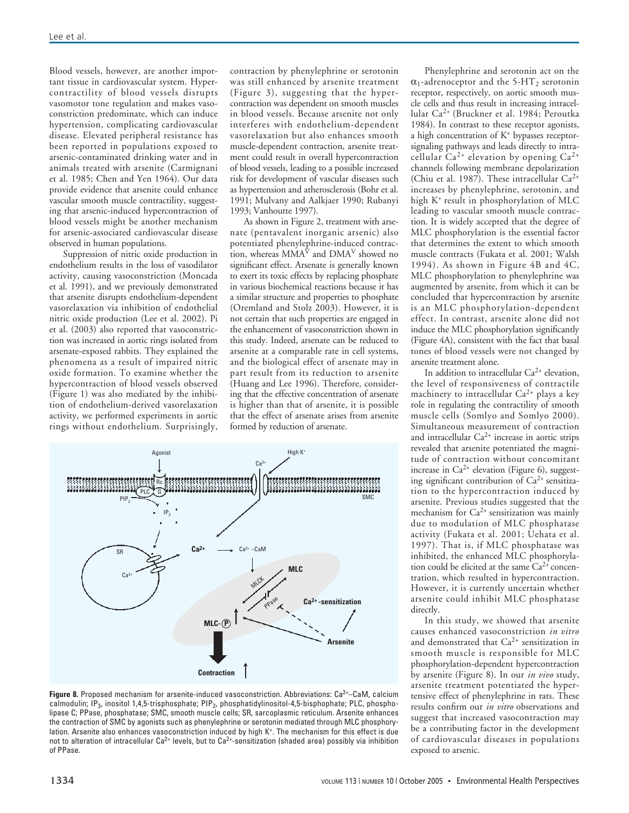Blood vessels, however, are another important tissue in cardiovascular system. Hypercontractility of blood vessels disrupts vasomotor tone regulation and makes vasoconstriction predominate, which can induce hypertension, complicating cardiovascular disease. Elevated peripheral resistance has been reported in populations exposed to arsenic-contaminated drinking water and in animals treated with arsenite (Carmignani et al. 1985; Chen and Yen 1964). Our data provide evidence that arsenite could enhance vascular smooth muscle contractility, suggesting that arsenic-induced hypercontraction of blood vessels might be another mechanism for arsenic-associated cardiovascular disease observed in human populations.

Suppression of nitric oxide production in endothelium results in the loss of vasodilator activity, causing vasoconstriction (Moncada et al. 1991), and we previously demonstrated that arsenite disrupts endothelium-dependent vasorelaxation via inhibition of endothelial nitric oxide production (Lee et al. 2002). Pi et al. (2003) also reported that vasoconstriction was increased in aortic rings isolated from arsenate-exposed rabbits. They explained the phenomena as a result of impaired nitric oxide formation. To examine whether the hypercontraction of blood vessels observed (Figure 1) was also mediated by the inhibition of endothelium-derived vasorelaxation activity, we performed experiments in aortic rings without endothelium. Surprisingly,

contraction by phenylephrine or serotonin was still enhanced by arsenite treatment (Figure 3), suggesting that the hypercontraction was dependent on smooth muscles in blood vessels. Because arsenite not only interferes with endothelium-dependent vasorelaxation but also enhances smooth muscle-dependent contraction, arsenite treatment could result in overall hypercontraction of blood vessels, leading to a possible increased risk for development of vascular diseases such as hypertension and atherosclerosis (Bohr et al. 1991; Mulvany and Aalkjaer 1990; Rubanyi 1993; Vanhoutte 1997).

As shown in Figure 2, treatment with arsenate (pentavalent inorganic arsenic) also potentiated phenylephrine-induced contraction, whereas  $\overline{MMA}^{\hat{V}}$  and  $\overline{DMA}^V$  showed no significant effect. Arsenate is generally known to exert its toxic effects by replacing phosphate in various biochemical reactions because it has a similar structure and properties to phosphate (Oremland and Stolz 2003). However, it is not certain that such properties are engaged in the enhancement of vasoconstriction shown in this study. Indeed, arsenate can be reduced to arsenite at a comparable rate in cell systems, and the biological effect of arsenate may in part result from its reduction to arsenite (Huang and Lee 1996). Therefore, considering that the effective concentration of arsenate is higher than that of arsenite, it is possible that the effect of arsenate arises from arsenite formed by reduction of arsenate.



Figure 8. Proposed mechanism for arsenite-induced vasoconstriction. Abbreviations: Ca<sup>2+</sup>-CaM, calcium calmodulin; IP<sub>3</sub>, inositol 1,4,5-trisphosphate; PIP<sub>2</sub>, phosphatidylinositol-4,5-bisphophate; PLC, phospholipase C; PPase, phosphatase; SMC, smooth muscle cells; SR, sarcoplasmic reticulum. Arsenite enhances the contraction of SMC by agonists such as phenylephrine or serotonin mediated through MLC phosphorylation. Arsenite also enhances vasoconstriction induced by high K+. The mechanism for this effect is due not to alteration of intracellular Ca<sup>2+</sup> levels, but to Ca<sup>2+</sup>-sensitization (shaded area) possibly via inhibition of PPase.

Phenylephrine and serotonin act on the  $\alpha_1$ -adrenoceptor and the 5-HT<sub>2</sub> serotonin receptor, respectively, on aortic smooth muscle cells and thus result in increasing intracellular Ca2+ (Bruckner et al. 1984; Peroutka 1984). In contrast to these receptor agonists, a high concentration of K+ bypasses receptorsignaling pathways and leads directly to intracellular  $Ca^{2+}$  elevation by opening  $Ca^{2+}$ channels following membrane depolarization (Chiu et al. 1987). These intracellular  $Ca^{2+}$ increases by phenylephrine, serotonin, and high K+ result in phosphorylation of MLC leading to vascular smooth muscle contraction. It is widely accepted that the degree of MLC phosphorylation is the essential factor that determines the extent to which smooth muscle contracts (Fukata et al. 2001; Walsh 1994). As shown in Figure 4B and 4C, MLC phosphorylation to phenylephrine was augmented by arsenite, from which it can be concluded that hypercontraction by arsenite is an MLC phosphorylation-dependent effect. In contrast, arsenite alone did not induce the MLC phosphorylation significantly (Figure 4A), consistent with the fact that basal tones of blood vessels were not changed by arsenite treatment alone.

In addition to intracellular Ca2+ elevation, the level of responsiveness of contractile machinery to intracellular  $Ca^{2+}$  plays a key role in regulating the contractility of smooth muscle cells (Somlyo and Somlyo 2000). Simultaneous measurement of contraction and intracellular  $Ca^{2+}$  increase in aortic strips revealed that arsenite potentiated the magnitude of contraction without concomitant increase in  $Ca^{2+}$  elevation (Figure 6), suggesting significant contribution of  $Ca^{2+}$  sensitization to the hypercontraction induced by arsenite. Previous studies suggested that the mechanism for  $Ca^{2+}$  sensitization was mainly due to modulation of MLC phosphatase activity (Fukata et al. 2001; Uehata et al. 1997). That is, if MLC phosphatase was inhibited, the enhanced MLC phosphorylation could be elicited at the same  $Ca^{2+}$  concentration, which resulted in hypercontraction. However, it is currently uncertain whether arsenite could inhibit MLC phosphatase directly.

In this study, we showed that arsenite causes enhanced vasoconstriction *in vitro* and demonstrated that  $Ca^{2+}$  sensitization in smooth muscle is responsible for MLC phosphorylation-dependent hypercontraction by arsenite (Figure 8). In our *in vivo* study, arsenite treatment potentiated the hypertensive effect of phenylephrine in rats. These results confirm our *in vitro* observations and suggest that increased vasocontraction may be a contributing factor in the development of cardiovascular diseases in populations exposed to arsenic.